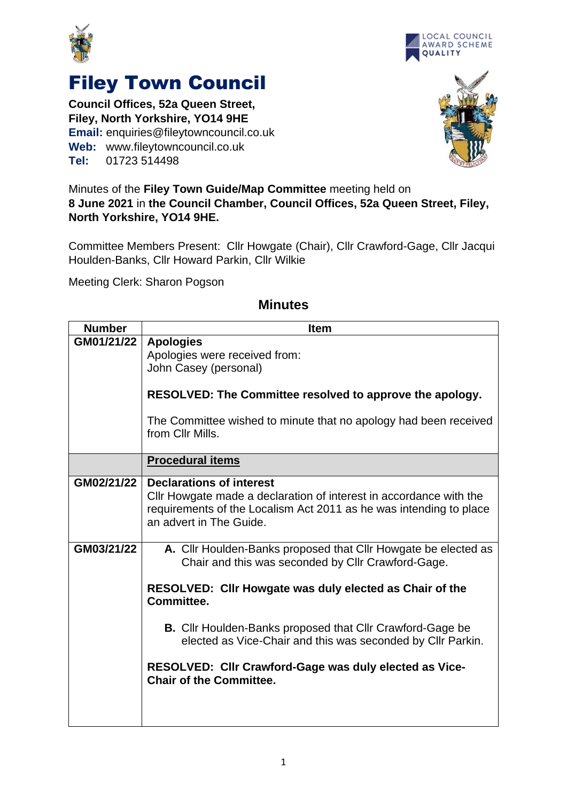



## Filey Town Council

**Council Offices, 52a Queen Street, Filey, North Yorkshire, YO14 9HE Email:** enquiries@fileytowncouncil.co.uk **Web:** www.fileytowncouncil.co.uk **Tel:** 01723 514498



Minutes of the **Filey Town Guide/Map Committee** meeting held on **8 June 2021** in **the Council Chamber, Council Offices, 52a Queen Street, Filey, North Yorkshire, YO14 9HE.**

Committee Members Present: Cllr Howgate (Chair), Cllr Crawford-Gage, Cllr Jacqui Houlden-Banks, Cllr Howard Parkin, Cllr Wilkie

Meeting Clerk: Sharon Pogson

| <b>Number</b> | <b>Item</b>                                                                                                                                                                                            |
|---------------|--------------------------------------------------------------------------------------------------------------------------------------------------------------------------------------------------------|
| GM01/21/22    | <b>Apologies</b>                                                                                                                                                                                       |
|               | Apologies were received from:<br>John Casey (personal)                                                                                                                                                 |
|               | <b>RESOLVED: The Committee resolved to approve the apology.</b>                                                                                                                                        |
|               | The Committee wished to minute that no apology had been received<br>from Cllr Mills.                                                                                                                   |
|               | <b>Procedural items</b>                                                                                                                                                                                |
| GM02/21/22    | <b>Declarations of interest</b><br>CIIr Howgate made a declaration of interest in accordance with the<br>requirements of the Localism Act 2011 as he was intending to place<br>an advert in The Guide. |
| GM03/21/22    | A. Cllr Houlden-Banks proposed that Cllr Howgate be elected as<br>Chair and this was seconded by Cllr Crawford-Gage.                                                                                   |
|               | RESOLVED: Cllr Howgate was duly elected as Chair of the<br>Committee.                                                                                                                                  |
|               | <b>B.</b> Cllr Houlden-Banks proposed that Cllr Crawford-Gage be<br>elected as Vice-Chair and this was seconded by Cllr Parkin.                                                                        |
|               | RESOLVED: Cllr Crawford-Gage was duly elected as Vice-<br><b>Chair of the Committee.</b>                                                                                                               |
|               |                                                                                                                                                                                                        |

## **Minutes**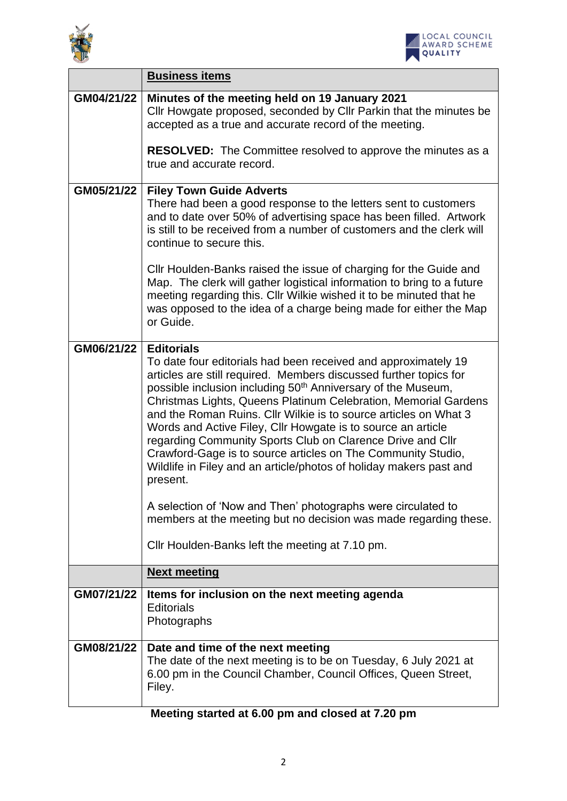



 $\overline{\phantom{0}}$ 

|            | <b>Business items</b>                                                                                                                                                                                                                                                                                                                                                                                                                                                                                                                                                                                                                                       |  |  |
|------------|-------------------------------------------------------------------------------------------------------------------------------------------------------------------------------------------------------------------------------------------------------------------------------------------------------------------------------------------------------------------------------------------------------------------------------------------------------------------------------------------------------------------------------------------------------------------------------------------------------------------------------------------------------------|--|--|
| GM04/21/22 | Minutes of the meeting held on 19 January 2021<br>Cllr Howgate proposed, seconded by Cllr Parkin that the minutes be<br>accepted as a true and accurate record of the meeting.                                                                                                                                                                                                                                                                                                                                                                                                                                                                              |  |  |
|            | <b>RESOLVED:</b> The Committee resolved to approve the minutes as a<br>true and accurate record.                                                                                                                                                                                                                                                                                                                                                                                                                                                                                                                                                            |  |  |
| GM05/21/22 | <b>Filey Town Guide Adverts</b><br>There had been a good response to the letters sent to customers<br>and to date over 50% of advertising space has been filled. Artwork<br>is still to be received from a number of customers and the clerk will<br>continue to secure this.                                                                                                                                                                                                                                                                                                                                                                               |  |  |
|            | Cllr Houlden-Banks raised the issue of charging for the Guide and<br>Map. The clerk will gather logistical information to bring to a future<br>meeting regarding this. Cllr Wilkie wished it to be minuted that he<br>was opposed to the idea of a charge being made for either the Map<br>or Guide.                                                                                                                                                                                                                                                                                                                                                        |  |  |
| GM06/21/22 | <b>Editorials</b><br>To date four editorials had been received and approximately 19<br>articles are still required. Members discussed further topics for<br>possible inclusion including 50 <sup>th</sup> Anniversary of the Museum,<br>Christmas Lights, Queens Platinum Celebration, Memorial Gardens<br>and the Roman Ruins. Cllr Wilkie is to source articles on What 3<br>Words and Active Filey, Cllr Howgate is to source an article<br>regarding Community Sports Club on Clarence Drive and Cllr<br>Crawford-Gage is to source articles on The Community Studio,<br>Wildlife in Filey and an article/photos of holiday makers past and<br>present. |  |  |
|            | A selection of 'Now and Then' photographs were circulated to<br>members at the meeting but no decision was made regarding these.                                                                                                                                                                                                                                                                                                                                                                                                                                                                                                                            |  |  |
|            | Cllr Houlden-Banks left the meeting at 7.10 pm.                                                                                                                                                                                                                                                                                                                                                                                                                                                                                                                                                                                                             |  |  |
|            | <b>Next meeting</b>                                                                                                                                                                                                                                                                                                                                                                                                                                                                                                                                                                                                                                         |  |  |
| GM07/21/22 | Items for inclusion on the next meeting agenda<br><b>Editorials</b><br>Photographs                                                                                                                                                                                                                                                                                                                                                                                                                                                                                                                                                                          |  |  |
| GM08/21/22 | Date and time of the next meeting<br>The date of the next meeting is to be on Tuesday, 6 July 2021 at<br>6.00 pm in the Council Chamber, Council Offices, Queen Street,<br>Filey.                                                                                                                                                                                                                                                                                                                                                                                                                                                                           |  |  |

**Meeting started at 6.00 pm and closed at 7.20 pm**